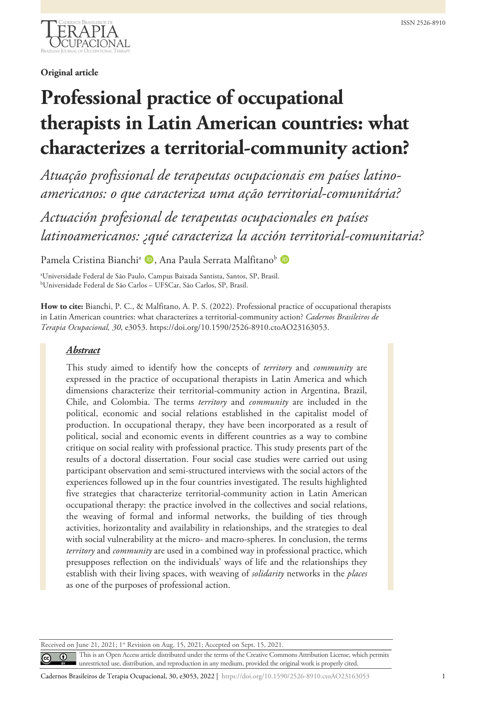

**Original article**

# **Professional practice of occupational therapists in Latin American countries: what characterizes a territorial-community action?**

*Atuação profissional de terapeutas ocupacionais em países latinoamericanos: o que caracteriza uma ação territorial-comunitária?*

*Actuación profesional de terapeutas ocupacionales en países latinoamericanos: ¿qué caracteriza la acción territorial-comunitaria?*

Pamela Cristina Bianchi<sup>a</sup> D, Ana Paula Serrata Malfitano<sup>b</sup> D

a Universidade Federal de São Paulo, Campus Baixada Santista, Santos, SP, Brasil. b Universidade Federal de São Carlos – UFSCar, São Carlos, SP, Brasil.

**How to cite:** Bianchi, P. C., & Malfitano, A. P. S. (2022). Professional practice of occupational therapists in Latin American countries: what characterizes a territorial-community action? *Cadernos Brasileiros de Terapia Ocupacional, 30*, e3053. https://doi.org/10.1590/2526-8910.ctoAO23163053.

## *Abstract*

 $\left(\mathrm{cc}\right)$ 

This study aimed to identify how the concepts of *territory* and *community* are expressed in the practice of occupational therapists in Latin America and which dimensions characterize their territorial-community action in Argentina, Brazil, Chile, and Colombia. The terms *territory* and *community* are included in the political, economic and social relations established in the capitalist model of production. In occupational therapy, they have been incorporated as a result of political, social and economic events in different countries as a way to combine critique on social reality with professional practice. This study presents part of the results of a doctoral dissertation. Four social case studies were carried out using participant observation and semi-structured interviews with the social actors of the experiences followed up in the four countries investigated. The results highlighted five strategies that characterize territorial-community action in Latin American occupational therapy: the practice involved in the collectives and social relations, the weaving of formal and informal networks, the building of ties through activities, horizontality and availability in relationships, and the strategies to deal with social vulnerability at the micro- and macro-spheres. In conclusion, the terms *territory* and *community* are used in a combined way in professional practice, which presupposes reflection on the individuals' ways of life and the relationships they establish with their living spaces, with weaving of *solidarity* networks in the *places* as one of the purposes of professional action.

Received on June 21, 2021; 1st Revision on Aug. 15, 2021; Accepted on Sept. 15, 2021.

This is an Open Access article distributed under the terms of the Creative Commons Attribution License, which permits  $\odot$ unrestricted use, distribution, and reproduction in any medium, provided the original work is properly cited.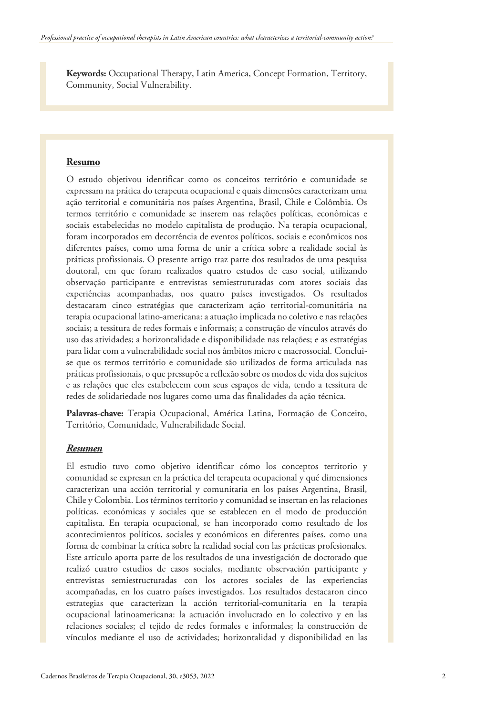**Keywords:** Occupational Therapy, Latin America, Concept Formation, Territory, Community, Social Vulnerability.

#### **Resumo**

O estudo objetivou identificar como os conceitos território e comunidade se expressam na prática do terapeuta ocupacional e quais dimensões caracterizam uma ação territorial e comunitária nos países Argentina, Brasil, Chile e Colômbia. Os termos território e comunidade se inserem nas relações políticas, econômicas e sociais estabelecidas no modelo capitalista de produção. Na terapia ocupacional, foram incorporados em decorrência de eventos políticos, sociais e econômicos nos diferentes países, como uma forma de unir a crítica sobre a realidade social às práticas profissionais. O presente artigo traz parte dos resultados de uma pesquisa doutoral, em que foram realizados quatro estudos de caso social, utilizando observação participante e entrevistas semiestruturadas com atores sociais das experiências acompanhadas, nos quatro países investigados. Os resultados destacaram cinco estratégias que caracterizam ação territorial-comunitária na terapia ocupacional latino-americana: a atuação implicada no coletivo e nas relações sociais; a tessitura de redes formais e informais; a construção de vínculos através do uso das atividades; a horizontalidade e disponibilidade nas relações; e as estratégias para lidar com a vulnerabilidade social nos âmbitos micro e macrossocial. Concluise que os termos território e comunidade são utilizados de forma articulada nas práticas profissionais, o que pressupõe a reflexão sobre os modos de vida dos sujeitos e as relações que eles estabelecem com seus espaços de vida, tendo a tessitura de redes de solidariedade nos lugares como uma das finalidades da ação técnica.

**Palavras-chave:** Terapia Ocupacional, América Latina, Formação de Conceito, Território, Comunidade, Vulnerabilidade Social.

#### *Resumen*

El estudio tuvo como objetivo identificar cómo los conceptos territorio y comunidad se expresan en la práctica del terapeuta ocupacional y qué dimensiones caracterizan una acción territorial y comunitaria en los países Argentina, Brasil, Chile y Colombia. Los términos territorio y comunidad se insertan en las relaciones políticas, económicas y sociales que se establecen en el modo de producción capitalista. En terapia ocupacional, se han incorporado como resultado de los acontecimientos políticos, sociales y económicos en diferentes países, como una forma de combinar la crítica sobre la realidad social con las prácticas profesionales. Este artículo aporta parte de los resultados de una investigación de doctorado que realizó cuatro estudios de casos sociales, mediante observación participante y entrevistas semiestructuradas con los actores sociales de las experiencias acompañadas, en los cuatro países investigados. Los resultados destacaron cinco estrategias que caracterizan la acción territorial-comunitaria en la terapia ocupacional latinoamericana: la actuación involucrado en lo colectivo y en las relaciones sociales; el tejido de redes formales e informales; la construcción de vínculos mediante el uso de actividades; horizontalidad y disponibilidad en las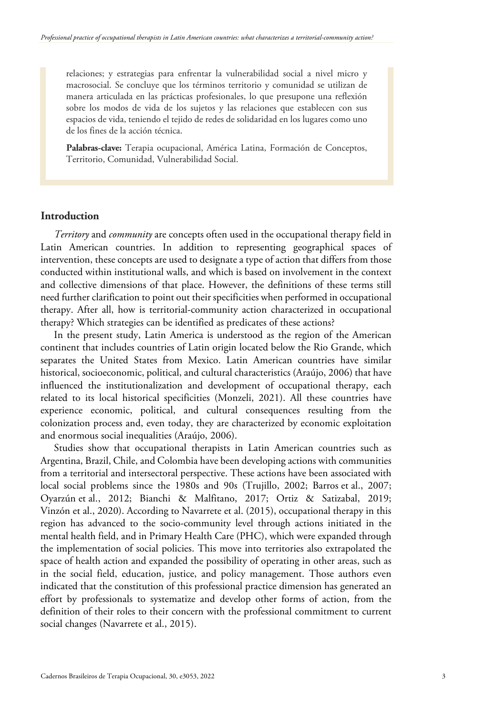relaciones; y estrategias para enfrentar la vulnerabilidad social a nivel micro y macrosocial. Se concluye que los términos territorio y comunidad se utilizan de manera articulada en las prácticas profesionales, lo que presupone una reflexión sobre los modos de vida de los sujetos y las relaciones que establecen con sus espacios de vida, teniendo el tejido de redes de solidaridad en los lugares como uno de los fines de la acción técnica.

**Palabras-clave:** Terapia ocupacional, América Latina, Formación de Conceptos, Territorio, Comunidad, Vulnerabilidad Social.

## **Introduction**

*Territory* and *community* are concepts often used in the occupational therapy field in Latin American countries. In addition to representing geographical spaces of intervention, these concepts are used to designate a type of action that differs from those conducted within institutional walls, and which is based on involvement in the context and collective dimensions of that place. However, the definitions of these terms still need further clarification to point out their specificities when performed in occupational therapy. After all, how is territorial-community action characterized in occupational therapy? Which strategies can be identified as predicates of these actions?

In the present study, Latin America is understood as the region of the American continent that includes countries of Latin origin located below the Rio Grande, which separates the United States from Mexico. Latin American countries have similar historical, socioeconomic, political, and cultural characteristics (Araújo, 2006) that have influenced the institutionalization and development of occupational therapy, each related to its local historical specificities (Monzeli, 2021). All these countries have experience economic, political, and cultural consequences resulting from the colonization process and, even today, they are characterized by economic exploitation and enormous social inequalities (Araújo, 2006).

Studies show that occupational therapists in Latin American countries such as Argentina, Brazil, Chile, and Colombia have been developing actions with communities from a territorial and intersectoral perspective. These actions have been associated with local social problems since the 1980s and 90s (Trujillo, 2002; Barros et al., 2007; Oyarzún et al., 2012; Bianchi & Malfitano, 2017; Ortiz & Satizabal, 2019; Vinzón et al., 2020). According to Navarrete et al. (2015), occupational therapy in this region has advanced to the socio-community level through actions initiated in the mental health field, and in Primary Health Care (PHC), which were expanded through the implementation of social policies. This move into territories also extrapolated the space of health action and expanded the possibility of operating in other areas, such as in the social field, education, justice, and policy management. Those authors even indicated that the constitution of this professional practice dimension has generated an effort by professionals to systematize and develop other forms of action, from the definition of their roles to their concern with the professional commitment to current social changes (Navarrete et al., 2015).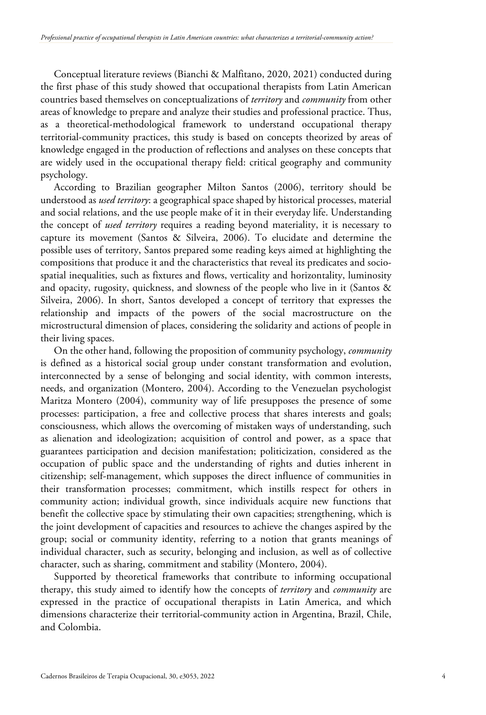Conceptual literature reviews (Bianchi & Malfitano, 2020, 2021) conducted during the first phase of this study showed that occupational therapists from Latin American countries based themselves on conceptualizations of *territory* and *community* from other areas of knowledge to prepare and analyze their studies and professional practice. Thus, as a theoretical-methodological framework to understand occupational therapy territorial-community practices, this study is based on concepts theorized by areas of knowledge engaged in the production of reflections and analyses on these concepts that are widely used in the occupational therapy field: critical geography and community psychology.

According to Brazilian geographer Milton Santos (2006), territory should be understood as *used territory*: a geographical space shaped by historical processes, material and social relations, and the use people make of it in their everyday life. Understanding the concept of *used territory* requires a reading beyond materiality, it is necessary to capture its movement (Santos & Silveira, 2006). To elucidate and determine the possible uses of territory, Santos prepared some reading keys aimed at highlighting the compositions that produce it and the characteristics that reveal its predicates and sociospatial inequalities, such as fixtures and flows, verticality and horizontality, luminosity and opacity, rugosity, quickness, and slowness of the people who live in it (Santos & Silveira, 2006). In short, Santos developed a concept of territory that expresses the relationship and impacts of the powers of the social macrostructure on the microstructural dimension of places, considering the solidarity and actions of people in their living spaces.

On the other hand, following the proposition of community psychology, *community* is defined as a historical social group under constant transformation and evolution, interconnected by a sense of belonging and social identity, with common interests, needs, and organization (Montero, 2004). According to the Venezuelan psychologist Maritza Montero (2004), community way of life presupposes the presence of some processes: participation, a free and collective process that shares interests and goals; consciousness, which allows the overcoming of mistaken ways of understanding, such as alienation and ideologization; acquisition of control and power, as a space that guarantees participation and decision manifestation; politicization, considered as the occupation of public space and the understanding of rights and duties inherent in citizenship; self-management, which supposes the direct influence of communities in their transformation processes; commitment, which instills respect for others in community action; individual growth, since individuals acquire new functions that benefit the collective space by stimulating their own capacities; strengthening, which is the joint development of capacities and resources to achieve the changes aspired by the group; social or community identity, referring to a notion that grants meanings of individual character, such as security, belonging and inclusion, as well as of collective character, such as sharing, commitment and stability (Montero, 2004).

Supported by theoretical frameworks that contribute to informing occupational therapy, this study aimed to identify how the concepts of *territory* and *community* are expressed in the practice of occupational therapists in Latin America, and which dimensions characterize their territorial-community action in Argentina, Brazil, Chile, and Colombia.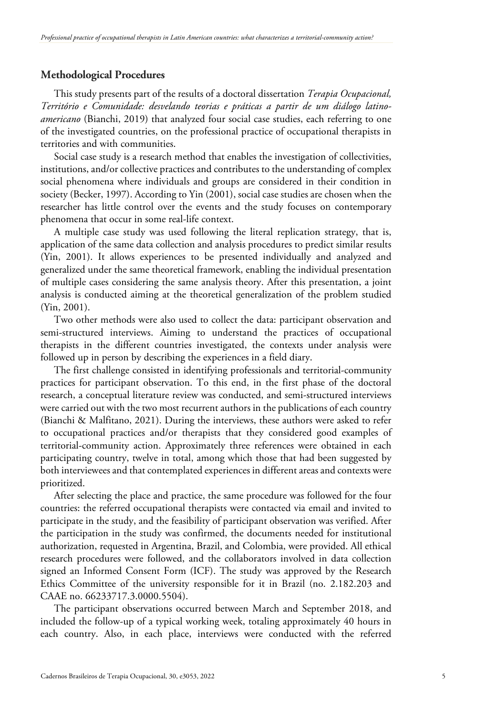# **Methodological Procedures**

This study presents part of the results of a doctoral dissertation *Terapia Ocupacional, Território e Comunidade: desvelando teorias e práticas a partir de um diálogo latinoamericano* (Bianchi, 2019) that analyzed four social case studies, each referring to one of the investigated countries, on the professional practice of occupational therapists in territories and with communities.

Social case study is a research method that enables the investigation of collectivities, institutions, and/or collective practices and contributes to the understanding of complex social phenomena where individuals and groups are considered in their condition in society (Becker, 1997). According to Yin (2001), social case studies are chosen when the researcher has little control over the events and the study focuses on contemporary phenomena that occur in some real-life context.

A multiple case study was used following the literal replication strategy, that is, application of the same data collection and analysis procedures to predict similar results (Yin, 2001). It allows experiences to be presented individually and analyzed and generalized under the same theoretical framework, enabling the individual presentation of multiple cases considering the same analysis theory. After this presentation, a joint analysis is conducted aiming at the theoretical generalization of the problem studied (Yin, 2001).

Two other methods were also used to collect the data: participant observation and semi-structured interviews. Aiming to understand the practices of occupational therapists in the different countries investigated, the contexts under analysis were followed up in person by describing the experiences in a field diary.

The first challenge consisted in identifying professionals and territorial-community practices for participant observation. To this end, in the first phase of the doctoral research, a conceptual literature review was conducted, and semi-structured interviews were carried out with the two most recurrent authors in the publications of each country (Bianchi & Malfitano, 2021). During the interviews, these authors were asked to refer to occupational practices and/or therapists that they considered good examples of territorial-community action. Approximately three references were obtained in each participating country, twelve in total, among which those that had been suggested by both interviewees and that contemplated experiences in different areas and contexts were prioritized.

After selecting the place and practice, the same procedure was followed for the four countries: the referred occupational therapists were contacted via email and invited to participate in the study, and the feasibility of participant observation was verified. After the participation in the study was confirmed, the documents needed for institutional authorization, requested in Argentina, Brazil, and Colombia, were provided. All ethical research procedures were followed, and the collaborators involved in data collection signed an Informed Consent Form (ICF). The study was approved by the Research Ethics Committee of the university responsible for it in Brazil (no. 2.182.203 and CAAE no. 66233717.3.0000.5504).

The participant observations occurred between March and September 2018, and included the follow-up of a typical working week, totaling approximately 40 hours in each country. Also, in each place, interviews were conducted with the referred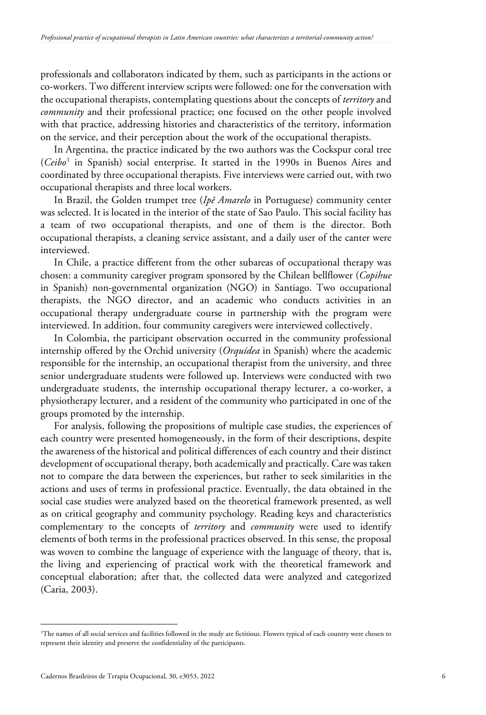professionals and collaborators indicated by them, such as participants in the actions or co-workers. Two different interview scripts were followed: one for the conversation with the occupational therapists, contemplating questions about the concepts of *territory* and *community* and their professional practice; one focused on the other people involved with that practice, addressing histories and characteristics of the territory, information on the service, and their perception about the work of the occupational therapists.

In Argentina, the practice indicated by the two authors was the Cockspur coral tree (*Ceibo*[1](#page-17-0) in Spanish) social enterprise. It started in the 1990s in Buenos Aires and coordinated by three occupational therapists. Five interviews were carried out, with two occupational therapists and three local workers.

In Brazil, the Golden trumpet tree (*Ipê Amarelo* in Portuguese) community center was selected. It is located in the interior of the state of Sao Paulo. This social facility has a team of two occupational therapists, and one of them is the director. Both occupational therapists, a cleaning service assistant, and a daily user of the canter were interviewed.

In Chile, a practice different from the other subareas of occupational therapy was chosen: a community caregiver program sponsored by the Chilean bellflower (*Copihue* in Spanish) non-governmental organization (NGO) in Santiago. Two occupational therapists, the NGO director, and an academic who conducts activities in an occupational therapy undergraduate course in partnership with the program were interviewed. In addition, four community caregivers were interviewed collectively.

In Colombia, the participant observation occurred in the community professional internship offered by the Orchid university (*Orquídea* in Spanish) where the academic responsible for the internship, an occupational therapist from the university, and three senior undergraduate students were followed up. Interviews were conducted with two undergraduate students, the internship occupational therapy lecturer, a co-worker, a physiotherapy lecturer, and a resident of the community who participated in one of the groups promoted by the internship.

For analysis, following the propositions of multiple case studies, the experiences of each country were presented homogeneously, in the form of their descriptions, despite the awareness of the historical and political differences of each country and their distinct development of occupational therapy, both academically and practically. Care was taken not to compare the data between the experiences, but rather to seek similarities in the actions and uses of terms in professional practice. Eventually, the data obtained in the social case studies were analyzed based on the theoretical framework presented, as well as on critical geography and community psychology. Reading keys and characteristics complementary to the concepts of *territory* and *community* were used to identify elements of both terms in the professional practices observed. In this sense, the proposal was woven to combine the language of experience with the language of theory, that is, the living and experiencing of practical work with the theoretical framework and conceptual elaboration; after that, the collected data were analyzed and categorized (Caria, 2003).

<sup>1</sup> The names of all social services and facilities followed in the study are fictitious. Flowers typical of each country were chosen to represent their identity and preserve the confidentiality of the participants.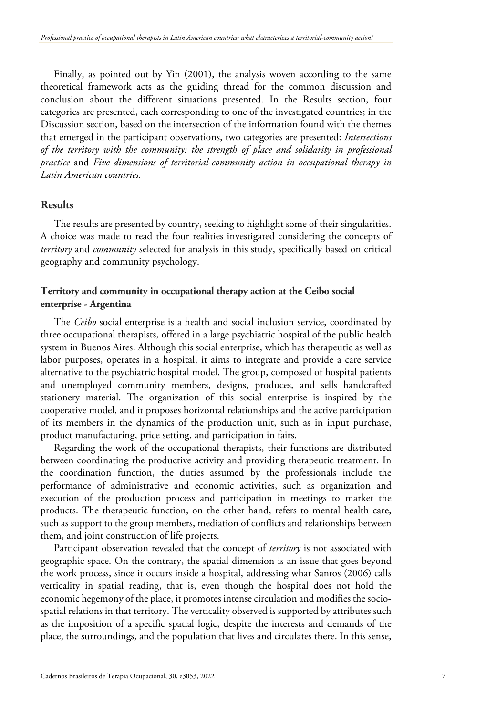Finally, as pointed out by Yin (2001), the analysis woven according to the same theoretical framework acts as the guiding thread for the common discussion and conclusion about the different situations presented. In the Results section, four categories are presented, each corresponding to one of the investigated countries; in the Discussion section, based on the intersection of the information found with the themes that emerged in the participant observations, two categories are presented: *Intersections of the territory with the community: the strength of place and solidarity in professional practice* and *Five dimensions of territorial-community action in occupational therapy in Latin American countries.*

# **Results**

The results are presented by country, seeking to highlight some of their singularities. A choice was made to read the four realities investigated considering the concepts of *territory* and *community* selected for analysis in this study, specifically based on critical geography and community psychology.

## **Territory and community in occupational therapy action at the Ceibo social enterprise - Argentina**

The *Ceibo* social enterprise is a health and social inclusion service, coordinated by three occupational therapists, offered in a large psychiatric hospital of the public health system in Buenos Aires. Although this social enterprise, which has therapeutic as well as labor purposes, operates in a hospital, it aims to integrate and provide a care service alternative to the psychiatric hospital model. The group, composed of hospital patients and unemployed community members, designs, produces, and sells handcrafted stationery material. The organization of this social enterprise is inspired by the cooperative model, and it proposes horizontal relationships and the active participation of its members in the dynamics of the production unit, such as in input purchase, product manufacturing, price setting, and participation in fairs.

Regarding the work of the occupational therapists, their functions are distributed between coordinating the productive activity and providing therapeutic treatment. In the coordination function, the duties assumed by the professionals include the performance of administrative and economic activities, such as organization and execution of the production process and participation in meetings to market the products. The therapeutic function, on the other hand, refers to mental health care, such as support to the group members, mediation of conflicts and relationships between them, and joint construction of life projects.

Participant observation revealed that the concept of *territory* is not associated with geographic space. On the contrary, the spatial dimension is an issue that goes beyond the work process, since it occurs inside a hospital, addressing what Santos (2006) calls verticality in spatial reading, that is, even though the hospital does not hold the economic hegemony of the place, it promotes intense circulation and modifies the sociospatial relations in that territory. The verticality observed is supported by attributes such as the imposition of a specific spatial logic, despite the interests and demands of the place, the surroundings, and the population that lives and circulates there. In this sense,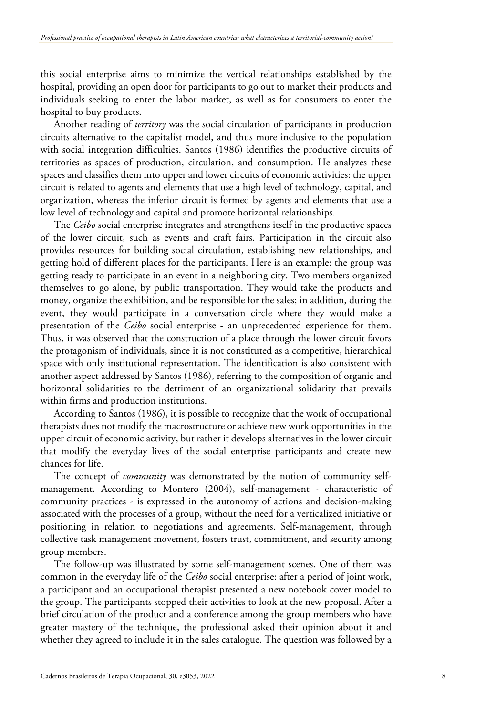this social enterprise aims to minimize the vertical relationships established by the hospital, providing an open door for participants to go out to market their products and individuals seeking to enter the labor market, as well as for consumers to enter the hospital to buy products.

Another reading of *territory* was the social circulation of participants in production circuits alternative to the capitalist model, and thus more inclusive to the population with social integration difficulties. Santos (1986) identifies the productive circuits of territories as spaces of production, circulation, and consumption. He analyzes these spaces and classifies them into upper and lower circuits of economic activities: the upper circuit is related to agents and elements that use a high level of technology, capital, and organization, whereas the inferior circuit is formed by agents and elements that use a low level of technology and capital and promote horizontal relationships.

The *Ceibo* social enterprise integrates and strengthens itself in the productive spaces of the lower circuit, such as events and craft fairs. Participation in the circuit also provides resources for building social circulation, establishing new relationships, and getting hold of different places for the participants. Here is an example: the group was getting ready to participate in an event in a neighboring city. Two members organized themselves to go alone, by public transportation. They would take the products and money, organize the exhibition, and be responsible for the sales; in addition, during the event, they would participate in a conversation circle where they would make a presentation of the *Ceibo* social enterprise - an unprecedented experience for them. Thus, it was observed that the construction of a place through the lower circuit favors the protagonism of individuals, since it is not constituted as a competitive, hierarchical space with only institutional representation. The identification is also consistent with another aspect addressed by Santos (1986), referring to the composition of organic and horizontal solidarities to the detriment of an organizational solidarity that prevails within firms and production institutions.

According to Santos (1986), it is possible to recognize that the work of occupational therapists does not modify the macrostructure or achieve new work opportunities in the upper circuit of economic activity, but rather it develops alternatives in the lower circuit that modify the everyday lives of the social enterprise participants and create new chances for life.

The concept of *community* was demonstrated by the notion of community selfmanagement. According to Montero (2004), self-management - characteristic of community practices - is expressed in the autonomy of actions and decision-making associated with the processes of a group, without the need for a verticalized initiative or positioning in relation to negotiations and agreements. Self-management, through collective task management movement, fosters trust, commitment, and security among group members.

The follow-up was illustrated by some self-management scenes. One of them was common in the everyday life of the *Ceibo* social enterprise: after a period of joint work, a participant and an occupational therapist presented a new notebook cover model to the group. The participants stopped their activities to look at the new proposal. After a brief circulation of the product and a conference among the group members who have greater mastery of the technique, the professional asked their opinion about it and whether they agreed to include it in the sales catalogue. The question was followed by a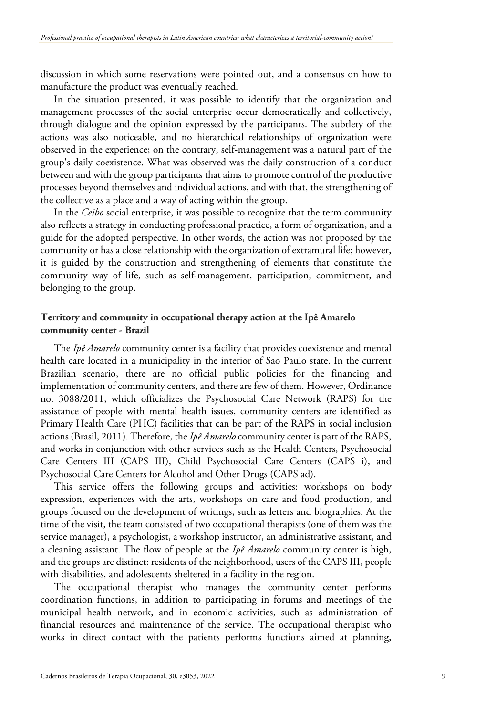discussion in which some reservations were pointed out, and a consensus on how to manufacture the product was eventually reached.

In the situation presented, it was possible to identify that the organization and management processes of the social enterprise occur democratically and collectively, through dialogue and the opinion expressed by the participants. The subtlety of the actions was also noticeable, and no hierarchical relationships of organization were observed in the experience; on the contrary, self-management was a natural part of the group's daily coexistence. What was observed was the daily construction of a conduct between and with the group participants that aims to promote control of the productive processes beyond themselves and individual actions, and with that, the strengthening of the collective as a place and a way of acting within the group.

In the *Ceibo* social enterprise, it was possible to recognize that the term community also reflects a strategy in conducting professional practice, a form of organization, and a guide for the adopted perspective. In other words, the action was not proposed by the community or has a close relationship with the organization of extramural life; however, it is guided by the construction and strengthening of elements that constitute the community way of life, such as self-management, participation, commitment, and belonging to the group.

## **Territory and community in occupational therapy action at the Ipê Amarelo community center - Brazil**

The *Ipê Amarelo* community center is a facility that provides coexistence and mental health care located in a municipality in the interior of Sao Paulo state. In the current Brazilian scenario, there are no official public policies for the financing and implementation of community centers, and there are few of them. However, Ordinance no. 3088/2011, which officializes the Psychosocial Care Network (RAPS) for the assistance of people with mental health issues, community centers are identified as Primary Health Care (PHC) facilities that can be part of the RAPS in social inclusion actions (Brasil, 2011). Therefore, the *Ipê Amarelo* community center is part of the RAPS, and works in conjunction with other services such as the Health Centers, Psychosocial Care Centers III (CAPS III), Child Psychosocial Care Centers (CAPS i), and Psychosocial Care Centers for Alcohol and Other Drugs (CAPS ad).

This service offers the following groups and activities: workshops on body expression, experiences with the arts, workshops on care and food production, and groups focused on the development of writings, such as letters and biographies. At the time of the visit, the team consisted of two occupational therapists (one of them was the service manager), a psychologist, a workshop instructor, an administrative assistant, and a cleaning assistant. The flow of people at the *Ipê Amarelo* community center is high, and the groups are distinct: residents of the neighborhood, users of the CAPS III, people with disabilities, and adolescents sheltered in a facility in the region.

The occupational therapist who manages the community center performs coordination functions, in addition to participating in forums and meetings of the municipal health network, and in economic activities, such as administration of financial resources and maintenance of the service. The occupational therapist who works in direct contact with the patients performs functions aimed at planning,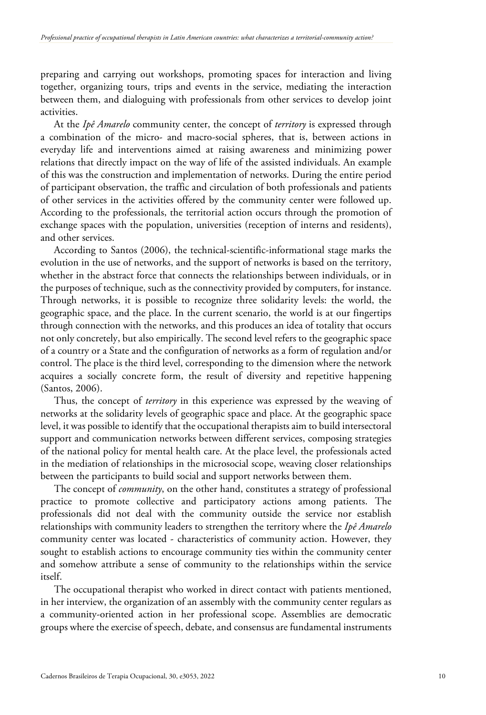preparing and carrying out workshops, promoting spaces for interaction and living together, organizing tours, trips and events in the service, mediating the interaction between them, and dialoguing with professionals from other services to develop joint activities.

At the *Ipê Amarelo* community center, the concept of *territory* is expressed through a combination of the micro- and macro-social spheres, that is, between actions in everyday life and interventions aimed at raising awareness and minimizing power relations that directly impact on the way of life of the assisted individuals. An example of this was the construction and implementation of networks. During the entire period of participant observation, the traffic and circulation of both professionals and patients of other services in the activities offered by the community center were followed up. According to the professionals, the territorial action occurs through the promotion of exchange spaces with the population, universities (reception of interns and residents), and other services.

According to Santos (2006), the technical-scientific-informational stage marks the evolution in the use of networks, and the support of networks is based on the territory, whether in the abstract force that connects the relationships between individuals, or in the purposes of technique, such as the connectivity provided by computers, for instance. Through networks, it is possible to recognize three solidarity levels: the world, the geographic space, and the place. In the current scenario, the world is at our fingertips through connection with the networks, and this produces an idea of totality that occurs not only concretely, but also empirically. The second level refers to the geographic space of a country or a State and the configuration of networks as a form of regulation and/or control. The place is the third level, corresponding to the dimension where the network acquires a socially concrete form, the result of diversity and repetitive happening (Santos, 2006).

Thus, the concept of *territory* in this experience was expressed by the weaving of networks at the solidarity levels of geographic space and place. At the geographic space level, it was possible to identify that the occupational therapists aim to build intersectoral support and communication networks between different services, composing strategies of the national policy for mental health care. At the place level, the professionals acted in the mediation of relationships in the microsocial scope, weaving closer relationships between the participants to build social and support networks between them.

The concept of *community*, on the other hand, constitutes a strategy of professional practice to promote collective and participatory actions among patients. The professionals did not deal with the community outside the service nor establish relationships with community leaders to strengthen the territory where the *Ipê Amarelo* community center was located - characteristics of community action. However, they sought to establish actions to encourage community ties within the community center and somehow attribute a sense of community to the relationships within the service itself.

The occupational therapist who worked in direct contact with patients mentioned, in her interview, the organization of an assembly with the community center regulars as a community-oriented action in her professional scope. Assemblies are democratic groups where the exercise of speech, debate, and consensus are fundamental instruments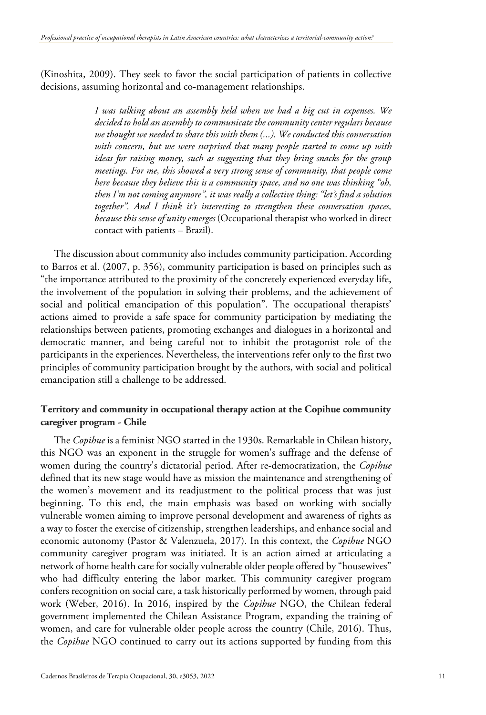(Kinoshita, 2009). They seek to favor the social participation of patients in collective decisions, assuming horizontal and co-management relationships.

> *I was talking about an assembly held when we had a big cut in expenses. We decided to hold an assembly to communicate the community center regulars because we thought we needed to share this with them (...). We conducted this conversation with concern, but we were surprised that many people started to come up with ideas for raising money, such as suggesting that they bring snacks for the group meetings. For me, this showed a very strong sense of community, that people come here because they believe this is a community space, and no one was thinking "oh, then I'm not coming anymore", it was really a collective thing: "let's find a solution together". And I think it's interesting to strengthen these conversation spaces, because this sense of unity emerges* (Occupational therapist who worked in direct contact with patients – Brazil).

The discussion about community also includes community participation. According to Barros et al. (2007, p. 356), community participation is based on principles such as "the importance attributed to the proximity of the concretely experienced everyday life, the involvement of the population in solving their problems, and the achievement of social and political emancipation of this population". The occupational therapists' actions aimed to provide a safe space for community participation by mediating the relationships between patients, promoting exchanges and dialogues in a horizontal and democratic manner, and being careful not to inhibit the protagonist role of the participants in the experiences. Nevertheless, the interventions refer only to the first two principles of community participation brought by the authors, with social and political emancipation still a challenge to be addressed.

# **Territory and community in occupational therapy action at the Copihue community caregiver program - Chile**

The *Copihue* is a feminist NGO started in the 1930s. Remarkable in Chilean history, this NGO was an exponent in the struggle for women's suffrage and the defense of women during the country's dictatorial period. After re-democratization, the *Copihue* defined that its new stage would have as mission the maintenance and strengthening of the women's movement and its readjustment to the political process that was just beginning. To this end, the main emphasis was based on working with socially vulnerable women aiming to improve personal development and awareness of rights as a way to foster the exercise of citizenship, strengthen leaderships, and enhance social and economic autonomy (Pastor & Valenzuela, 2017). In this context, the *Copihue* NGO community caregiver program was initiated. It is an action aimed at articulating a network of home health care for socially vulnerable older people offered by "housewives" who had difficulty entering the labor market. This community caregiver program confers recognition on social care, a task historically performed by women, through paid work (Weber, 2016). In 2016, inspired by the *Copihue* NGO, the Chilean federal government implemented the Chilean Assistance Program, expanding the training of women, and care for vulnerable older people across the country (Chile, 2016). Thus, the *Copihue* NGO continued to carry out its actions supported by funding from this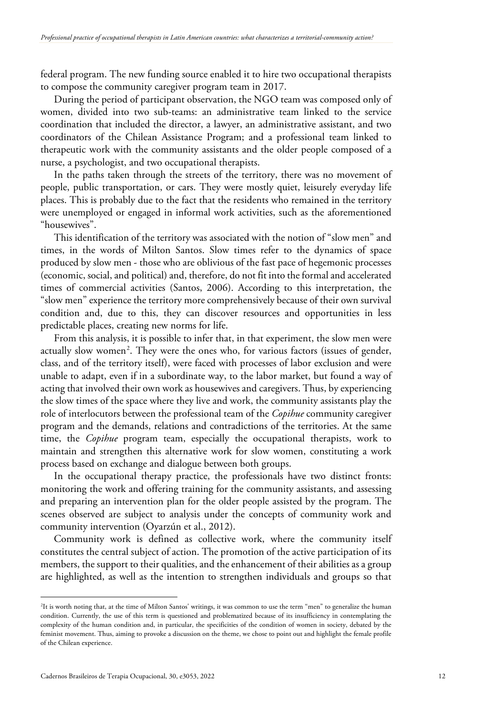federal program. The new funding source enabled it to hire two occupational therapists to compose the community caregiver program team in 2017.

During the period of participant observation, the NGO team was composed only of women, divided into two sub-teams: an administrative team linked to the service coordination that included the director, a lawyer, an administrative assistant, and two coordinators of the Chilean Assistance Program; and a professional team linked to therapeutic work with the community assistants and the older people composed of a nurse, a psychologist, and two occupational therapists.

In the paths taken through the streets of the territory, there was no movement of people, public transportation, or cars. They were mostly quiet, leisurely everyday life places. This is probably due to the fact that the residents who remained in the territory were unemployed or engaged in informal work activities, such as the aforementioned "housewives".

This identification of the territory was associated with the notion of "slow men" and times, in the words of Milton Santos. Slow times refer to the dynamics of space produced by slow men - those who are oblivious of the fast pace of hegemonic processes (economic, social, and political) and, therefore, do not fit into the formal and accelerated times of commercial activities (Santos, 2006). According to this interpretation, the "slow men" experience the territory more comprehensively because of their own survival condition and, due to this, they can discover resources and opportunities in less predictable places, creating new norms for life.

From this analysis, it is possible to infer that, in that experiment, the slow men were actually slow women<sup>[2](#page-11-0)</sup>. They were the ones who, for various factors (issues of gender, class, and of the territory itself), were faced with processes of labor exclusion and were unable to adapt, even if in a subordinate way, to the labor market, but found a way of acting that involved their own work as housewives and caregivers. Thus, by experiencing the slow times of the space where they live and work, the community assistants play the role of interlocutors between the professional team of the *Copihue* community caregiver program and the demands, relations and contradictions of the territories. At the same time, the *Copihue* program team, especially the occupational therapists, work to maintain and strengthen this alternative work for slow women, constituting a work process based on exchange and dialogue between both groups.

In the occupational therapy practice, the professionals have two distinct fronts: monitoring the work and offering training for the community assistants, and assessing and preparing an intervention plan for the older people assisted by the program. The scenes observed are subject to analysis under the concepts of community work and community intervention (Oyarzún et al., 2012).

Community work is defined as collective work, where the community itself constitutes the central subject of action. The promotion of the active participation of its members, the support to their qualities, and the enhancement of their abilities as a group are highlighted, as well as the intention to strengthen individuals and groups so that

<span id="page-11-0"></span><sup>2</sup> It is worth noting that, at the time of Milton Santos' writings, it was common to use the term "men" to generalize the human condition. Currently, the use of this term is questioned and problematized because of its insufficiency in contemplating the complexity of the human condition and, in particular, the specificities of the condition of women in society, debated by the feminist movement. Thus, aiming to provoke a discussion on the theme, we chose to point out and highlight the female profile of the Chilean experience.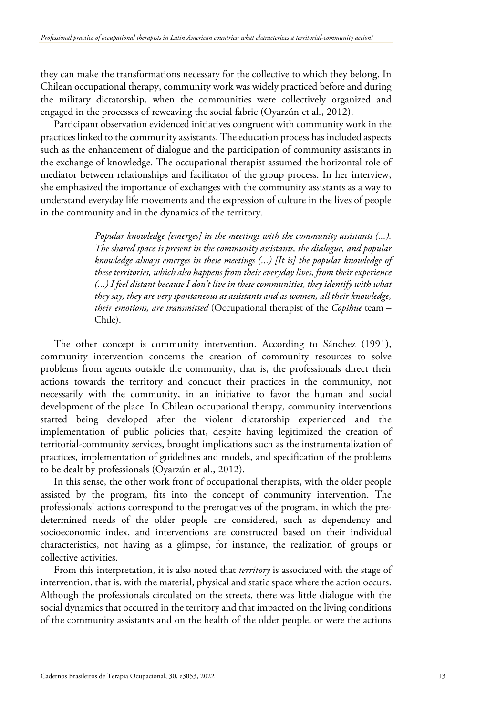they can make the transformations necessary for the collective to which they belong. In Chilean occupational therapy, community work was widely practiced before and during the military dictatorship, when the communities were collectively organized and engaged in the processes of reweaving the social fabric (Oyarzún et al., 2012).

Participant observation evidenced initiatives congruent with community work in the practices linked to the community assistants. The education process has included aspects such as the enhancement of dialogue and the participation of community assistants in the exchange of knowledge. The occupational therapist assumed the horizontal role of mediator between relationships and facilitator of the group process. In her interview, she emphasized the importance of exchanges with the community assistants as a way to understand everyday life movements and the expression of culture in the lives of people in the community and in the dynamics of the territory.

> *Popular knowledge [emerges] in the meetings with the community assistants (...). The shared space is present in the community assistants, the dialogue, and popular knowledge always emerges in these meetings (...) [It is] the popular knowledge of these territories, which also happens from their everyday lives, from their experience (...) I feel distant because I don't live in these communities, they identify with what they say, they are very spontaneous as assistants and as women, all their knowledge, their emotions, are transmitted* (Occupational therapist of the *Copihue* team – Chile).

The other concept is community intervention. According to Sánchez (1991), community intervention concerns the creation of community resources to solve problems from agents outside the community, that is, the professionals direct their actions towards the territory and conduct their practices in the community, not necessarily with the community, in an initiative to favor the human and social development of the place. In Chilean occupational therapy, community interventions started being developed after the violent dictatorship experienced and the implementation of public policies that, despite having legitimized the creation of territorial-community services, brought implications such as the instrumentalization of practices, implementation of guidelines and models, and specification of the problems to be dealt by professionals (Oyarzún et al., 2012).

In this sense, the other work front of occupational therapists, with the older people assisted by the program, fits into the concept of community intervention. The professionals' actions correspond to the prerogatives of the program, in which the predetermined needs of the older people are considered, such as dependency and socioeconomic index, and interventions are constructed based on their individual characteristics, not having as a glimpse, for instance, the realization of groups or collective activities.

From this interpretation, it is also noted that *territory* is associated with the stage of intervention, that is, with the material, physical and static space where the action occurs. Although the professionals circulated on the streets, there was little dialogue with the social dynamics that occurred in the territory and that impacted on the living conditions of the community assistants and on the health of the older people, or were the actions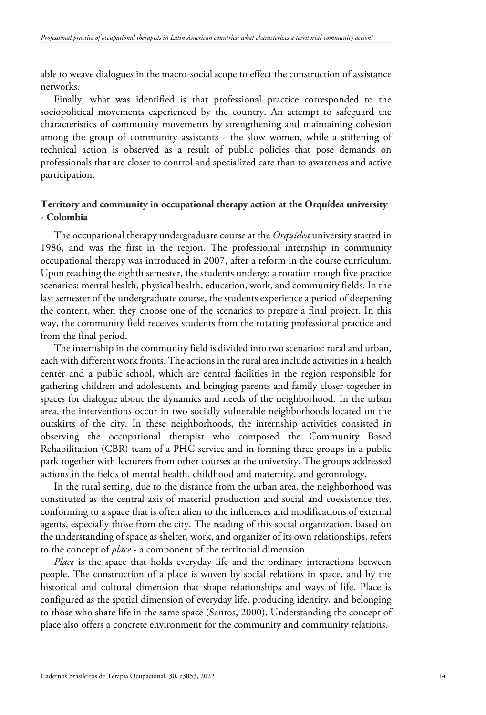able to weave dialogues in the macro-social scope to effect the construction of assistance networks.

Finally, what was identified is that professional practice corresponded to the sociopolitical movements experienced by the country. An attempt to safeguard the characteristics of community movements by strengthening and maintaining cohesion among the group of community assistants - the slow women, while a stiffening of technical action is observed as a result of public policies that pose demands on professionals that are closer to control and specialized care than to awareness and active participation.

# **Territory and community in occupational therapy action at the Orquídea university - Colombia**

The occupational therapy undergraduate course at the *Orquídea* university started in 1986, and was the first in the region. The professional internship in community occupational therapy was introduced in 2007, after a reform in the course curriculum. Upon reaching the eighth semester, the students undergo a rotation trough five practice scenarios: mental health, physical health, education, work, and community fields. In the last semester of the undergraduate course, the students experience a period of deepening the content, when they choose one of the scenarios to prepare a final project. In this way, the community field receives students from the rotating professional practice and from the final period.

The internship in the community field is divided into two scenarios: rural and urban, each with different work fronts. The actions in the rural area include activities in a health center and a public school, which are central facilities in the region responsible for gathering children and adolescents and bringing parents and family closer together in spaces for dialogue about the dynamics and needs of the neighborhood. In the urban area, the interventions occur in two socially vulnerable neighborhoods located on the outskirts of the city. In these neighborhoods, the internship activities consisted in observing the occupational therapist who composed the Community Based Rehabilitation (CBR) team of a PHC service and in forming three groups in a public park together with lecturers from other courses at the university. The groups addressed actions in the fields of mental health, childhood and maternity, and gerontology.

In the rural setting, due to the distance from the urban area, the neighborhood was constituted as the central axis of material production and social and coexistence ties, conforming to a space that is often alien to the influences and modifications of external agents, especially those from the city. The reading of this social organization, based on the understanding of space as shelter, work, and organizer of its own relationships, refers to the concept of *place* - a component of the territorial dimension.

*Place* is the space that holds everyday life and the ordinary interactions between people. The construction of a place is woven by social relations in space, and by the historical and cultural dimension that shape relationships and ways of life. Place is configured as the spatial dimension of everyday life, producing identity, and belonging to those who share life in the same space (Santos, 2000). Understanding the concept of place also offers a concrete environment for the community and community relations.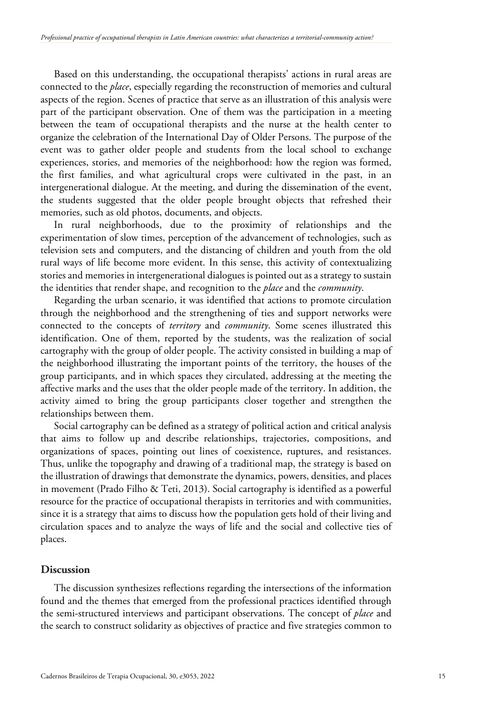Based on this understanding, the occupational therapists' actions in rural areas are connected to the *place*, especially regarding the reconstruction of memories and cultural aspects of the region. Scenes of practice that serve as an illustration of this analysis were part of the participant observation. One of them was the participation in a meeting between the team of occupational therapists and the nurse at the health center to organize the celebration of the International Day of Older Persons. The purpose of the event was to gather older people and students from the local school to exchange experiences, stories, and memories of the neighborhood: how the region was formed, the first families, and what agricultural crops were cultivated in the past, in an intergenerational dialogue. At the meeting, and during the dissemination of the event, the students suggested that the older people brought objects that refreshed their memories, such as old photos, documents, and objects.

In rural neighborhoods, due to the proximity of relationships and the experimentation of slow times, perception of the advancement of technologies, such as television sets and computers, and the distancing of children and youth from the old rural ways of life become more evident. In this sense, this activity of contextualizing stories and memories in intergenerational dialogues is pointed out as a strategy to sustain the identities that render shape, and recognition to the *place* and the *community*.

Regarding the urban scenario, it was identified that actions to promote circulation through the neighborhood and the strengthening of ties and support networks were connected to the concepts of *territory* and *community*. Some scenes illustrated this identification. One of them, reported by the students, was the realization of social cartography with the group of older people. The activity consisted in building a map of the neighborhood illustrating the important points of the territory, the houses of the group participants, and in which spaces they circulated, addressing at the meeting the affective marks and the uses that the older people made of the territory. In addition, the activity aimed to bring the group participants closer together and strengthen the relationships between them.

Social cartography can be defined as a strategy of political action and critical analysis that aims to follow up and describe relationships, trajectories, compositions, and organizations of spaces, pointing out lines of coexistence, ruptures, and resistances. Thus, unlike the topography and drawing of a traditional map, the strategy is based on the illustration of drawings that demonstrate the dynamics, powers, densities, and places in movement (Prado Filho & Teti, 2013). Social cartography is identified as a powerful resource for the practice of occupational therapists in territories and with communities, since it is a strategy that aims to discuss how the population gets hold of their living and circulation spaces and to analyze the ways of life and the social and collective ties of places.

#### **Discussion**

The discussion synthesizes reflections regarding the intersections of the information found and the themes that emerged from the professional practices identified through the semi-structured interviews and participant observations. The concept of *place* and the search to construct solidarity as objectives of practice and five strategies common to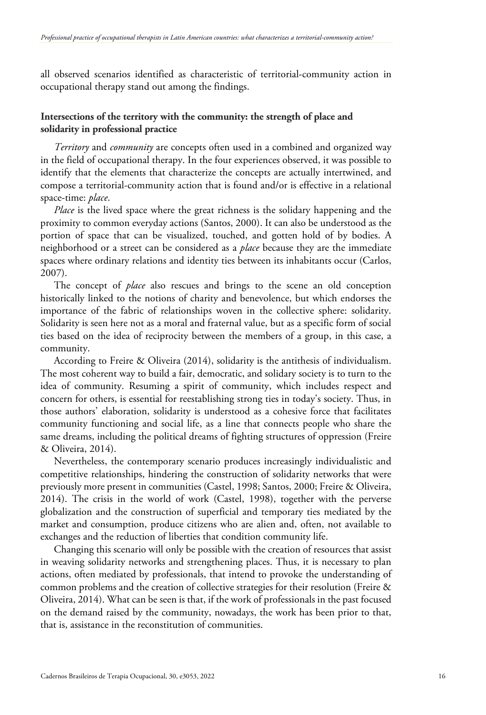all observed scenarios identified as characteristic of territorial-community action in occupational therapy stand out among the findings.

# **Intersections of the territory with the community: the strength of place and solidarity in professional practice**

*Territory* and *community* are concepts often used in a combined and organized way in the field of occupational therapy. In the four experiences observed, it was possible to identify that the elements that characterize the concepts are actually intertwined, and compose a territorial-community action that is found and/or is effective in a relational space-time: *place*.

*Place* is the lived space where the great richness is the solidary happening and the proximity to common everyday actions (Santos, 2000). It can also be understood as the portion of space that can be visualized, touched, and gotten hold of by bodies. A neighborhood or a street can be considered as a *place* because they are the immediate spaces where ordinary relations and identity ties between its inhabitants occur (Carlos, 2007).

The concept of *place* also rescues and brings to the scene an old conception historically linked to the notions of charity and benevolence, but which endorses the importance of the fabric of relationships woven in the collective sphere: solidarity. Solidarity is seen here not as a moral and fraternal value, but as a specific form of social ties based on the idea of reciprocity between the members of a group, in this case, a community.

According to Freire & Oliveira (2014), solidarity is the antithesis of individualism. The most coherent way to build a fair, democratic, and solidary society is to turn to the idea of community. Resuming a spirit of community, which includes respect and concern for others, is essential for reestablishing strong ties in today's society. Thus, in those authors' elaboration, solidarity is understood as a cohesive force that facilitates community functioning and social life, as a line that connects people who share the same dreams, including the political dreams of fighting structures of oppression (Freire & Oliveira, 2014).

Nevertheless, the contemporary scenario produces increasingly individualistic and competitive relationships, hindering the construction of solidarity networks that were previously more present in communities (Castel, 1998; Santos, 2000; Freire & Oliveira, 2014). The crisis in the world of work (Castel, 1998), together with the perverse globalization and the construction of superficial and temporary ties mediated by the market and consumption, produce citizens who are alien and, often, not available to exchanges and the reduction of liberties that condition community life.

Changing this scenario will only be possible with the creation of resources that assist in weaving solidarity networks and strengthening places. Thus, it is necessary to plan actions, often mediated by professionals, that intend to provoke the understanding of common problems and the creation of collective strategies for their resolution (Freire & Oliveira, 2014). What can be seen is that, if the work of professionals in the past focused on the demand raised by the community, nowadays, the work has been prior to that, that is, assistance in the reconstitution of communities.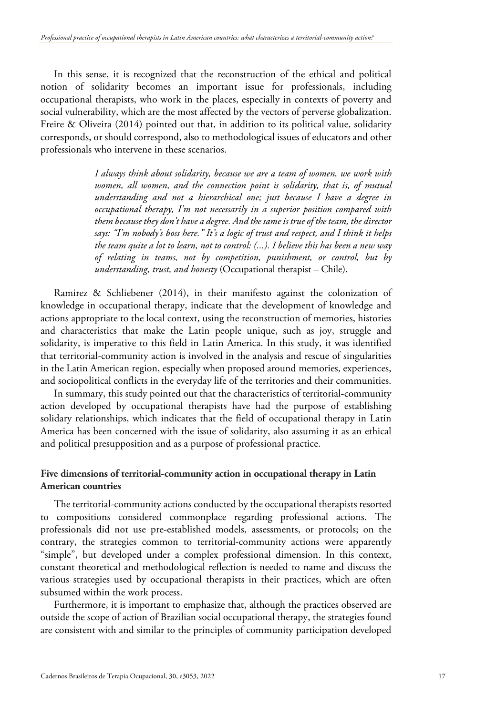In this sense, it is recognized that the reconstruction of the ethical and political notion of solidarity becomes an important issue for professionals, including occupational therapists, who work in the places, especially in contexts of poverty and social vulnerability, which are the most affected by the vectors of perverse globalization. Freire & Oliveira (2014) pointed out that, in addition to its political value, solidarity corresponds, or should correspond, also to methodological issues of educators and other professionals who intervene in these scenarios.

> *I always think about solidarity, because we are a team of women, we work with women, all women, and the connection point is solidarity, that is, of mutual understanding and not a hierarchical one; just because I have a degree in occupational therapy, I'm not necessarily in a superior position compared with them because they don't have a degree. And the same is true of the team, the director says: "I'm nobody's boss here." It's a logic of trust and respect, and I think it helps the team quite a lot to learn, not to control: (...). I believe this has been a new way of relating in teams, not by competition, punishment, or control, but by understanding, trust, and honesty* (Occupational therapist – Chile).

Ramirez & Schliebener (2014), in their manifesto against the colonization of knowledge in occupational therapy, indicate that the development of knowledge and actions appropriate to the local context, using the reconstruction of memories, histories and characteristics that make the Latin people unique, such as joy, struggle and solidarity, is imperative to this field in Latin America. In this study, it was identified that territorial-community action is involved in the analysis and rescue of singularities in the Latin American region, especially when proposed around memories, experiences, and sociopolitical conflicts in the everyday life of the territories and their communities.

In summary, this study pointed out that the characteristics of territorial-community action developed by occupational therapists have had the purpose of establishing solidary relationships, which indicates that the field of occupational therapy in Latin America has been concerned with the issue of solidarity, also assuming it as an ethical and political presupposition and as a purpose of professional practice.

# **Five dimensions of territorial-community action in occupational therapy in Latin American countries**

The territorial-community actions conducted by the occupational therapists resorted to compositions considered commonplace regarding professional actions. The professionals did not use pre-established models, assessments, or protocols; on the contrary, the strategies common to territorial-community actions were apparently "simple", but developed under a complex professional dimension. In this context, constant theoretical and methodological reflection is needed to name and discuss the various strategies used by occupational therapists in their practices, which are often subsumed within the work process.

Furthermore, it is important to emphasize that, although the practices observed are outside the scope of action of Brazilian social occupational therapy, the strategies found are consistent with and similar to the principles of community participation developed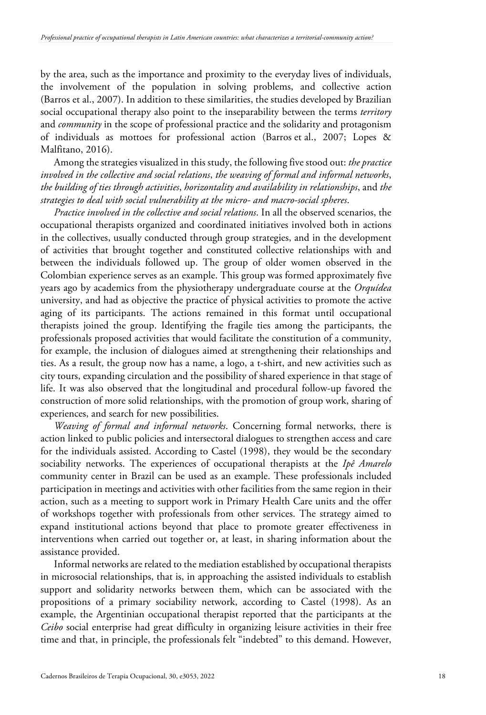by the area, such as the importance and proximity to the everyday lives of individuals, the involvement of the population in solving problems, and collective action (Barros et al., 2007). In addition to these similarities, the studies developed by Brazilian social occupational therapy also point to the inseparability between the terms *territory* and *community* in the scope of professional practice and the solidarity and protagonism of individuals as mottoes for professional action (Barros et al., 2007; Lopes & Malfitano, 2016).

Among the strategies visualized in this study, the following five stood out: *the practice involved in the collective and social relations*, *the weaving of formal and informal networks*, *the building of ties through activities*, *horizontality and availability in relationships*, and *the strategies to deal with social vulnerability at the micro- and macro-social spheres*.

*Practice involved in the collective and social relations*. In all the observed scenarios, the occupational therapists organized and coordinated initiatives involved both in actions in the collectives, usually conducted through group strategies, and in the development of activities that brought together and constituted collective relationships with and between the individuals followed up. The group of older women observed in the Colombian experience serves as an example. This group was formed approximately five years ago by academics from the physiotherapy undergraduate course at the *Orquídea* university, and had as objective the practice of physical activities to promote the active aging of its participants. The actions remained in this format until occupational therapists joined the group. Identifying the fragile ties among the participants, the professionals proposed activities that would facilitate the constitution of a community, for example, the inclusion of dialogues aimed at strengthening their relationships and ties. As a result, the group now has a name, a logo, a t-shirt, and new activities such as city tours, expanding circulation and the possibility of shared experience in that stage of life. It was also observed that the longitudinal and procedural follow-up favored the construction of more solid relationships, with the promotion of group work, sharing of experiences, and search for new possibilities.

*Weaving of formal and informal networks*. Concerning formal networks, there is action linked to public policies and intersectoral dialogues to strengthen access and care for the individuals assisted. According to Castel (1998), they would be the secondary sociability networks. The experiences of occupational therapists at the *Ipê Amarelo* community center in Brazil can be used as an example. These professionals included participation in meetings and activities with other facilities from the same region in their action, such as a meeting to support work in Primary Health Care units and the offer of workshops together with professionals from other services. The strategy aimed to expand institutional actions beyond that place to promote greater effectiveness in interventions when carried out together or, at least, in sharing information about the assistance provided.

<span id="page-17-0"></span>Informal networks are related to the mediation established by occupational therapists in microsocial relationships, that is, in approaching the assisted individuals to establish support and solidarity networks between them, which can be associated with the propositions of a primary sociability network, according to Castel (1998). As an example, the Argentinian occupational therapist reported that the participants at the *Ceibo* social enterprise had great difficulty in organizing leisure activities in their free time and that, in principle, the professionals felt "indebted" to this demand. However,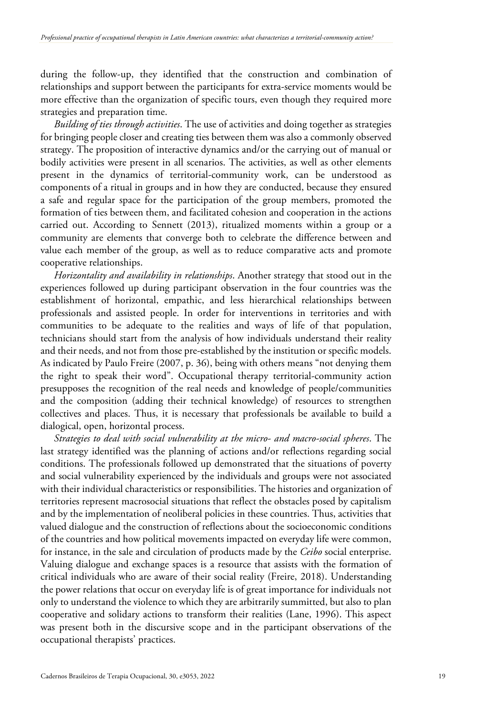during the follow-up, they identified that the construction and combination of relationships and support between the participants for extra-service moments would be more effective than the organization of specific tours, even though they required more strategies and preparation time.

*Building of ties through activities*. The use of activities and doing together as strategies for bringing people closer and creating ties between them was also a commonly observed strategy. The proposition of interactive dynamics and/or the carrying out of manual or bodily activities were present in all scenarios. The activities, as well as other elements present in the dynamics of territorial-community work, can be understood as components of a ritual in groups and in how they are conducted, because they ensured a safe and regular space for the participation of the group members, promoted the formation of ties between them, and facilitated cohesion and cooperation in the actions carried out. According to Sennett (2013), ritualized moments within a group or a community are elements that converge both to celebrate the difference between and value each member of the group, as well as to reduce comparative acts and promote cooperative relationships.

*Horizontality and availability in relationships*. Another strategy that stood out in the experiences followed up during participant observation in the four countries was the establishment of horizontal, empathic, and less hierarchical relationships between professionals and assisted people. In order for interventions in territories and with communities to be adequate to the realities and ways of life of that population, technicians should start from the analysis of how individuals understand their reality and their needs, and not from those pre-established by the institution or specific models. As indicated by Paulo Freire (2007, p. 36), being with others means "not denying them the right to speak their word". Occupational therapy territorial-community action presupposes the recognition of the real needs and knowledge of people/communities and the composition (adding their technical knowledge) of resources to strengthen collectives and places. Thus, it is necessary that professionals be available to build a dialogical, open, horizontal process.

*Strategies to deal with social vulnerability at the micro- and macro-social spheres*. The last strategy identified was the planning of actions and/or reflections regarding social conditions. The professionals followed up demonstrated that the situations of poverty and social vulnerability experienced by the individuals and groups were not associated with their individual characteristics or responsibilities. The histories and organization of territories represent macrosocial situations that reflect the obstacles posed by capitalism and by the implementation of neoliberal policies in these countries. Thus, activities that valued dialogue and the construction of reflections about the socioeconomic conditions of the countries and how political movements impacted on everyday life were common, for instance, in the sale and circulation of products made by the *Ceibo* social enterprise. Valuing dialogue and exchange spaces is a resource that assists with the formation of critical individuals who are aware of their social reality (Freire, 2018). Understanding the power relations that occur on everyday life is of great importance for individuals not only to understand the violence to which they are arbitrarily summitted, but also to plan cooperative and solidary actions to transform their realities (Lane, 1996). This aspect was present both in the discursive scope and in the participant observations of the occupational therapists' practices.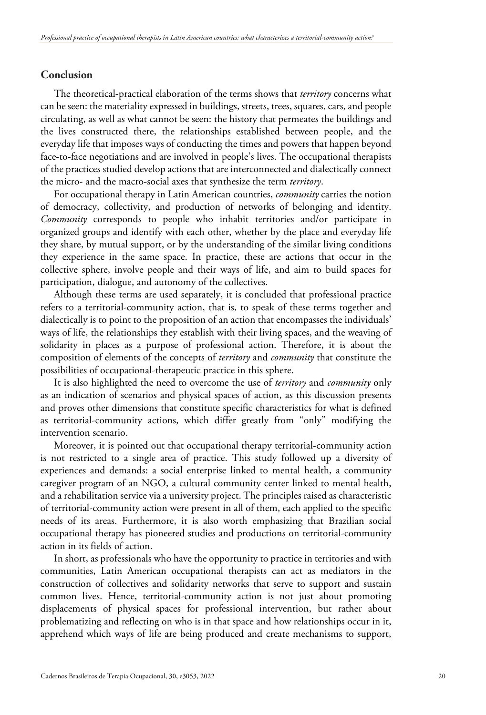# **Conclusion**

The theoretical-practical elaboration of the terms shows that *territory* concerns what can be seen: the materiality expressed in buildings, streets, trees, squares, cars, and people circulating, as well as what cannot be seen: the history that permeates the buildings and the lives constructed there, the relationships established between people, and the everyday life that imposes ways of conducting the times and powers that happen beyond face-to-face negotiations and are involved in people's lives. The occupational therapists of the practices studied develop actions that are interconnected and dialectically connect the micro- and the macro-social axes that synthesize the term *territory*.

For occupational therapy in Latin American countries, *community* carries the notion of democracy, collectivity, and production of networks of belonging and identity. *Community* corresponds to people who inhabit territories and/or participate in organized groups and identify with each other, whether by the place and everyday life they share, by mutual support, or by the understanding of the similar living conditions they experience in the same space. In practice, these are actions that occur in the collective sphere, involve people and their ways of life, and aim to build spaces for participation, dialogue, and autonomy of the collectives.

Although these terms are used separately, it is concluded that professional practice refers to a territorial-community action, that is, to speak of these terms together and dialectically is to point to the proposition of an action that encompasses the individuals' ways of life, the relationships they establish with their living spaces, and the weaving of solidarity in places as a purpose of professional action. Therefore, it is about the composition of elements of the concepts of *territory* and *community* that constitute the possibilities of occupational-therapeutic practice in this sphere.

It is also highlighted the need to overcome the use of *territory* and *community* only as an indication of scenarios and physical spaces of action, as this discussion presents and proves other dimensions that constitute specific characteristics for what is defined as territorial-community actions, which differ greatly from "only" modifying the intervention scenario.

Moreover, it is pointed out that occupational therapy territorial-community action is not restricted to a single area of practice. This study followed up a diversity of experiences and demands: a social enterprise linked to mental health, a community caregiver program of an NGO, a cultural community center linked to mental health, and a rehabilitation service via a university project. The principles raised as characteristic of territorial-community action were present in all of them, each applied to the specific needs of its areas. Furthermore, it is also worth emphasizing that Brazilian social occupational therapy has pioneered studies and productions on territorial-community action in its fields of action.

In short, as professionals who have the opportunity to practice in territories and with communities, Latin American occupational therapists can act as mediators in the construction of collectives and solidarity networks that serve to support and sustain common lives. Hence, territorial-community action is not just about promoting displacements of physical spaces for professional intervention, but rather about problematizing and reflecting on who is in that space and how relationships occur in it, apprehend which ways of life are being produced and create mechanisms to support,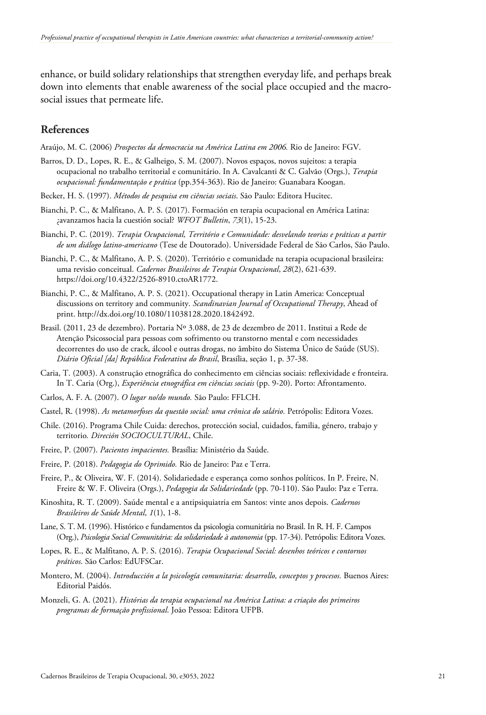enhance, or build solidary relationships that strengthen everyday life, and perhaps break down into elements that enable awareness of the social place occupied and the macrosocial issues that permeate life.

## **References**

Araújo, M. C. (2006) *Prospectos da democracia na América Latina em 2006.* Rio de Janeiro: FGV.

- Barros, D. D., Lopes, R. E., & Galheigo, S. M. (2007). Novos espaços, novos sujeitos: a terapia ocupacional no trabalho territorial e comunitário. In A. Cavalcanti & C. Galvão (Orgs.), *Terapia ocupacional: fundamentação e prática* (pp.354-363). Rio de Janeiro: Guanabara Koogan.
- Becker, H. S. (1997). *Métodos de pesquisa em ciências sociais*. São Paulo: Editora Hucitec.
- Bianchi, P. C., & Malfitano, A. P. S. (2017). Formación en terapia ocupacional en América Latina: ¿avanzamos hacia la cuestión social? *WFOT Bulletin*, *73*(1), 15-23.
- Bianchi, P. C. (2019). *Terapia Ocupacional, Território e Comunidade: desvelando teorias e práticas a partir de um diálogo latino-americano* (Tese de Doutorado). Universidade Federal de São Carlos, São Paulo.
- Bianchi, P. C., & Malfitano, A. P. S. (2020). Território e comunidade na terapia ocupacional brasileira: uma revisão conceitual. *Cadernos Brasileiros de Terapia Ocupacional*, *28*(2), 621-639. https://doi.org/10.4322/2526-8910.ctoAR1772.
- Bianchi, P. C., & Malfitano, A. P. S. (2021). Occupational therapy in Latin America: Conceptual discussions on territory and community. *Scandinavian Journal of Occupational Therapy*, Ahead of print. http://dx.doi.org/10.1080/11038128.2020.1842492.
- Brasil. (2011, 23 de dezembro). Portaria Nº 3.088, de 23 de dezembro de 2011. Institui a Rede de Atenção Psicossocial para pessoas com sofrimento ou transtorno mental e com necessidades decorrentes do uso de crack, álcool e outras drogas, no âmbito do Sistema Único de Saúde (SUS). *Diário Oficial [da] República Federativa do Brasil*, Brasília, seção 1, p. 37-38.
- Caria, T. (2003). A construção etnográfica do conhecimento em ciências sociais: reflexividade e fronteira. In T. Caria (Org.), *Experiência etnográfica em ciências sociais* (pp. 9-20). Porto: Afrontamento.
- Carlos, A. F. A. (2007). *O lugar no/do mundo.* São Paulo: FFLCH.
- Castel, R. (1998). *As metamorfoses da questão social: uma crônica do salário.* Petrópolis: Editora Vozes.
- Chile. (2016). Programa Chile Cuida: derechos, protección social, cuidados, familia, género, trabajo y territorio*. Direción SOCIOCULTURAL*, Chile.
- Freire, P. (2007). *Pacientes impacientes.* Brasília: Ministério da Saúde.
- Freire, P. (2018). *Pedagogia do Oprimido.* Rio de Janeiro: Paz e Terra.
- Freire, P., & Oliveira, W. F. (2014). Solidariedade e esperança como sonhos políticos. In P. Freire, N. Freire & W. F. Oliveira (Orgs.), *Pedagogia da Solidariedade* (pp. 70-110). São Paulo: Paz e Terra.
- Kinoshita, R. T. (2009). Saúde mental e a antipsiquiatria em Santos: vinte anos depois. *Cadernos Brasileiros de Saúde Mental*, *1*(1), 1-8.
- Lane, S. T. M. (1996). Histórico e fundamentos da psicologia comunitária no Brasil. In R. H. F. Campos (Org.), *Psicologia Social Comunitária: da solidariedade à autonomia* (pp. 17-34). Petrópolis: Editora Vozes.
- Lopes, R. E., & Malfitano, A. P. S. (2016). *Terapia Ocupacional Social: desenhos teóricos e contornos práticos*. São Carlos: EdUFSCar.
- Montero, M. (2004). *Introducción a la psicología comunitaria: desarrollo, conceptos y procesos.* Buenos Aires: Editorial Paidós.
- Monzeli, G. A. (2021). *Histórias da terapia ocupacional na América Latina: a criação dos primeiros programas de formação profissional*. João Pessoa: Editora UFPB.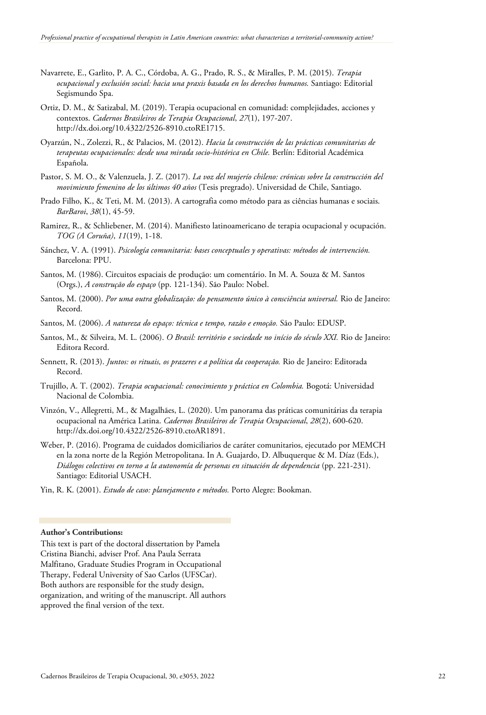- Navarrete, E., Garlito, P. A. C., Córdoba, A. G., Prado, R. S., & Miralles, P. M. (2015). *Terapia ocupacional y exclusión social: hacia una praxis basada en los derechos humanos.* Santiago: Editorial Segismundo Spa.
- Ortiz, D. M., & Satizabal, M. (2019). Terapia ocupacional en comunidad: complejidades, acciones y contextos. *Cadernos Brasileiros de Terapia Ocupacional*, *27*(1), 197-207. http://dx.doi.org/10.4322/2526-8910.ctoRE1715.
- Oyarzún, N., Zolezzi, R., & Palacios, M. (2012). *Hacia la construcción de las prácticas comunitarias de terapeutas ocupacionales: desde una mirada socio-histórica en Chile.* Berlín: Editorial Académica Española.
- Pastor, S. M. O., & Valenzuela, J. Z. (2017). *La voz del mujerío chileno: crónicas sobre la construcción del movimiento femenino de los últimos 40 años* (Tesis pregrado). Universidad de Chile, Santiago.
- Prado Filho, K., & Teti, M. M. (2013). A cartografia como método para as ciências humanas e sociais. *BarBaroi*, *38*(1), 45-59.
- Ramirez, R., & Schliebener, M. (2014). Manifiesto latinoamericano de terapia ocupacional y ocupación. *TOG (A Coruña)*, *11*(19), 1-18.
- Sánchez, V. A. (1991). *Psicología comunitaria: bases conceptuales y operativas: métodos de intervención.* Barcelona: PPU.
- Santos, M. (1986). Circuitos espaciais de produção: um comentário. In M. A. Souza & M. Santos (Orgs.), *A construção do espaço* (pp. 121-134). São Paulo: Nobel.
- Santos, M. (2000). *Por uma outra globalização: do pensamento único à consciência universal.* Rio de Janeiro: Record.
- Santos, M. (2006). *A natureza do espaço: técnica e tempo, razão e emoção.* São Paulo: EDUSP.
- Santos, M., & Silveira, M. L. (2006). *O Brasil: território e sociedade no início do século XXI.* Rio de Janeiro: Editora Record.
- Sennett, R. (2013). *Juntos: os rituais, os prazeres e a política da cooperação.* Rio de Janeiro: Editorada Record.
- Trujillo, A. T. (2002). *Terapia ocupacional: conocimiento y práctica en Colombia.* Bogotá: Universidad Nacional de Colombia.
- Vinzón, V., Allegretti, M., & Magalhães, L. (2020). Um panorama das práticas comunitárias da terapia ocupacional na América Latina. *Cadernos Brasileiros de Terapia Ocupacional*, *28*(2), 600-620. http://dx.doi.org/10.4322/2526-8910.ctoAR1891.
- Weber, P. (2016). Programa de cuidados domiciliarios de caráter comunitarios, ejecutado por MEMCH en la zona norte de la Región Metropolitana. In A. Guajardo, D. Albuquerque & M. Díaz (Eds.), *Diálogos colectivos en torno a la autonomía de personas en situación de dependencia* (pp. 221-231). Santiago: Editorial USACH.
- Yin, R. K. (2001). *Estudo de caso: planejamento e métodos.* Porto Alegre: Bookman.

#### **Author's Contributions:**

This text is part of the doctoral dissertation by Pamela Cristina Bianchi, adviser Prof. Ana Paula Serrata Malfitano, Graduate Studies Program in Occupational Therapy, Federal University of Sao Carlos (UFSCar). Both authors are responsible for the study design, organization, and writing of the manuscript. All authors approved the final version of the text.